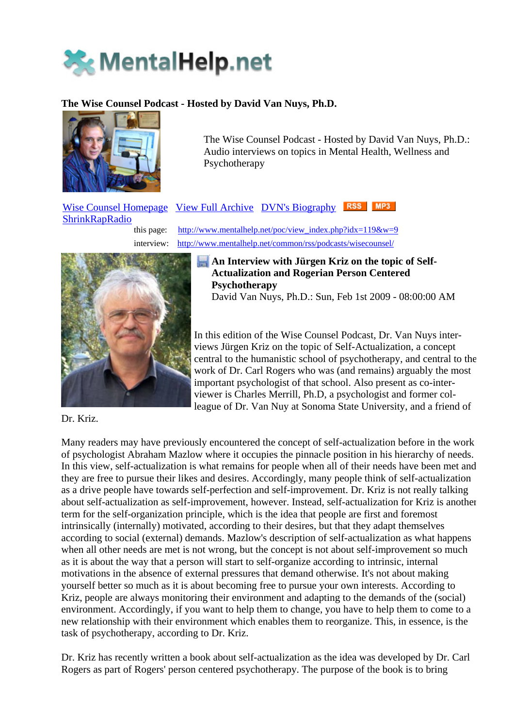

# **The Wise Counsel Podcast - Hosted by David Van Nuys, Ph.D.**



The Wise Counsel Podcast - Hosted by David Van Nuys, Ph.D.: Audio interviews on topics in Mental Health, Wellness and Psychotherapy

# Wise Counsel Homepage View Full Archive DVN's Biography RSS MP3 **ShrinkRapRadio** this page: http://www.mentalhelp.net/poc/view\_index.php?idx=119&w=9

interview: http://www.mentalhelp.net/common/rss/podcasts/wisecounsel/



# **An Interview with Jürgen Kriz on the topic of Self-Actualization and Rogerian Person Centered Psychotherapy**

David Van Nuys, Ph.D.: Sun, Feb 1st 2009 - 08:00:00 AM

In this edition of the Wise Counsel Podcast, Dr. Van Nuys interviews Jürgen Kriz on the topic of Self-Actualization, a concept central to the humanistic school of psychotherapy, and central to the work of Dr. Carl Rogers who was (and remains) arguably the most important psychologist of that school. Also present as co-interviewer is Charles Merrill, Ph.D, a psychologist and former colleague of Dr. Van Nuy at Sonoma State University, and a friend of

Dr. Kriz.

Many readers may have previously encountered the concept of self-actualization before in the work of psychologist Abraham Mazlow where it occupies the pinnacle position in his hierarchy of needs. In this view, self-actualization is what remains for people when all of their needs have been met and they are free to pursue their likes and desires. Accordingly, many people think of self-actualization as a drive people have towards self-perfection and self-improvement. Dr. Kriz is not really talking about self-actualization as self-improvement, however. Instead, self-actualization for Kriz is another term for the self-organization principle, which is the idea that people are first and foremost intrinsically (internally) motivated, according to their desires, but that they adapt themselves according to social (external) demands. Mazlow's description of self-actualization as what happens when all other needs are met is not wrong, but the concept is not about self-improvement so much as it is about the way that a person will start to self-organize according to intrinsic, internal motivations in the absence of external pressures that demand otherwise. It's not about making yourself better so much as it is about becoming free to pursue your own interests. According to Kriz, people are always monitoring their environment and adapting to the demands of the (social) environment. Accordingly, if you want to help them to change, you have to help them to come to a new relationship with their environment which enables them to reorganize. This, in essence, is the task of psychotherapy, according to Dr. Kriz.

Dr. Kriz has recently written a book about self-actualization as the idea was developed by Dr. Carl Rogers as part of Rogers' person centered psychotherapy. The purpose of the book is to bring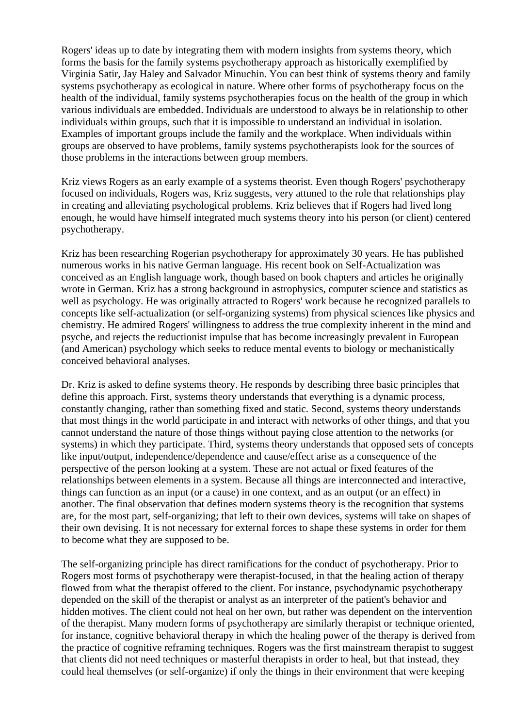Rogers' ideas up to date by integrating them with modern insights from systems theory, which forms the basis for the family systems psychotherapy approach as historically exemplified by Virginia Satir, Jay Haley and Salvador Minuchin. You can best think of systems theory and family systems psychotherapy as ecological in nature. Where other forms of psychotherapy focus on the health of the individual, family systems psychotherapies focus on the health of the group in which various individuals are embedded. Individuals are understood to always be in relationship to other individuals within groups, such that it is impossible to understand an individual in isolation. Examples of important groups include the family and the workplace. When individuals within groups are observed to have problems, family systems psychotherapists look for the sources of those problems in the interactions between group members.

Kriz views Rogers as an early example of a systems theorist. Even though Rogers' psychotherapy focused on individuals, Rogers was, Kriz suggests, very attuned to the role that relationships play in creating and alleviating psychological problems. Kriz believes that if Rogers had lived long enough, he would have himself integrated much systems theory into his person (or client) centered psychotherapy.

Kriz has been researching Rogerian psychotherapy for approximately 30 years. He has published numerous works in his native German language. His recent book on Self-Actualization was conceived as an English language work, though based on book chapters and articles he originally wrote in German. Kriz has a strong background in astrophysics, computer science and statistics as well as psychology. He was originally attracted to Rogers' work because he recognized parallels to concepts like self-actualization (or self-organizing systems) from physical sciences like physics and chemistry. He admired Rogers' willingness to address the true complexity inherent in the mind and psyche, and rejects the reductionist impulse that has become increasingly prevalent in European (and American) psychology which seeks to reduce mental events to biology or mechanistically conceived behavioral analyses.

Dr. Kriz is asked to define systems theory. He responds by describing three basic principles that define this approach. First, systems theory understands that everything is a dynamic process, constantly changing, rather than something fixed and static. Second, systems theory understands that most things in the world participate in and interact with networks of other things, and that you cannot understand the nature of those things without paying close attention to the networks (or systems) in which they participate. Third, systems theory understands that opposed sets of concepts like input/output, independence/dependence and cause/effect arise as a consequence of the perspective of the person looking at a system. These are not actual or fixed features of the relationships between elements in a system. Because all things are interconnected and interactive, things can function as an input (or a cause) in one context, and as an output (or an effect) in another. The final observation that defines modern systems theory is the recognition that systems are, for the most part, self-organizing; that left to their own devices, systems will take on shapes of their own devising. It is not necessary for external forces to shape these systems in order for them to become what they are supposed to be.

The self-organizing principle has direct ramifications for the conduct of psychotherapy. Prior to Rogers most forms of psychotherapy were therapist-focused, in that the healing action of therapy flowed from what the therapist offered to the client. For instance, psychodynamic psychotherapy depended on the skill of the therapist or analyst as an interpreter of the patient's behavior and hidden motives. The client could not heal on her own, but rather was dependent on the intervention of the therapist. Many modern forms of psychotherapy are similarly therapist or technique oriented, for instance, cognitive behavioral therapy in which the healing power of the therapy is derived from the practice of cognitive reframing techniques. Rogers was the first mainstream therapist to suggest that clients did not need techniques or masterful therapists in order to heal, but that instead, they could heal themselves (or self-organize) if only the things in their environment that were keeping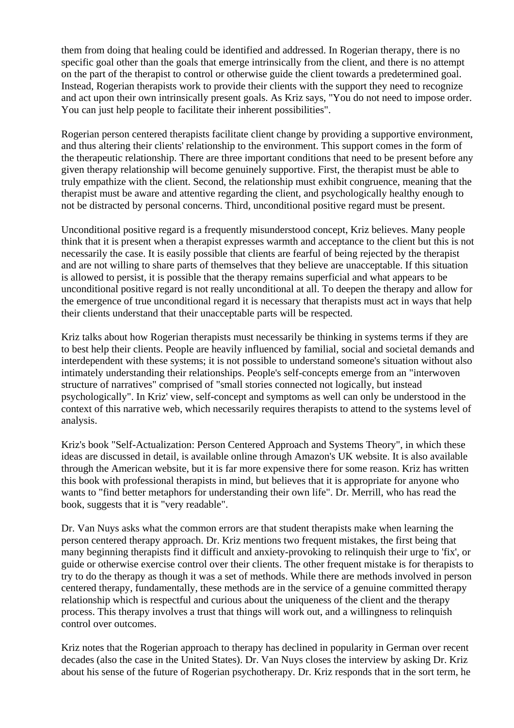them from doing that healing could be identified and addressed. In Rogerian therapy, there is no specific goal other than the goals that emerge intrinsically from the client, and there is no attempt on the part of the therapist to control or otherwise guide the client towards a predetermined goal. Instead, Rogerian therapists work to provide their clients with the support they need to recognize and act upon their own intrinsically present goals. As Kriz says, "You do not need to impose order. You can just help people to facilitate their inherent possibilities".

Rogerian person centered therapists facilitate client change by providing a supportive environment, and thus altering their clients' relationship to the environment. This support comes in the form of the therapeutic relationship. There are three important conditions that need to be present before any given therapy relationship will become genuinely supportive. First, the therapist must be able to truly empathize with the client. Second, the relationship must exhibit congruence, meaning that the therapist must be aware and attentive regarding the client, and psychologically healthy enough to not be distracted by personal concerns. Third, unconditional positive regard must be present.

Unconditional positive regard is a frequently misunderstood concept, Kriz believes. Many people think that it is present when a therapist expresses warmth and acceptance to the client but this is not necessarily the case. It is easily possible that clients are fearful of being rejected by the therapist and are not willing to share parts of themselves that they believe are unacceptable. If this situation is allowed to persist, it is possible that the therapy remains superficial and what appears to be unconditional positive regard is not really unconditional at all. To deepen the therapy and allow for the emergence of true unconditional regard it is necessary that therapists must act in ways that help their clients understand that their unacceptable parts will be respected.

Kriz talks about how Rogerian therapists must necessarily be thinking in systems terms if they are to best help their clients. People are heavily influenced by familial, social and societal demands and interdependent with these systems; it is not possible to understand someone's situation without also intimately understanding their relationships. People's self-concepts emerge from an "interwoven structure of narratives" comprised of "small stories connected not logically, but instead psychologically". In Kriz' view, self-concept and symptoms as well can only be understood in the context of this narrative web, which necessarily requires therapists to attend to the systems level of analysis.

Kriz's book "Self-Actualization: Person Centered Approach and Systems Theory", in which these ideas are discussed in detail, is available online through Amazon's UK website. It is also available through the American website, but it is far more expensive there for some reason. Kriz has written this book with professional therapists in mind, but believes that it is appropriate for anyone who wants to "find better metaphors for understanding their own life". Dr. Merrill, who has read the book, suggests that it is "very readable".

Dr. Van Nuys asks what the common errors are that student therapists make when learning the person centered therapy approach. Dr. Kriz mentions two frequent mistakes, the first being that many beginning therapists find it difficult and anxiety-provoking to relinquish their urge to 'fix', or guide or otherwise exercise control over their clients. The other frequent mistake is for therapists to try to do the therapy as though it was a set of methods. While there are methods involved in person centered therapy, fundamentally, these methods are in the service of a genuine committed therapy relationship which is respectful and curious about the uniqueness of the client and the therapy process. This therapy involves a trust that things will work out, and a willingness to relinquish control over outcomes.

Kriz notes that the Rogerian approach to therapy has declined in popularity in German over recent decades (also the case in the United States). Dr. Van Nuys closes the interview by asking Dr. Kriz about his sense of the future of Rogerian psychotherapy. Dr. Kriz responds that in the sort term, he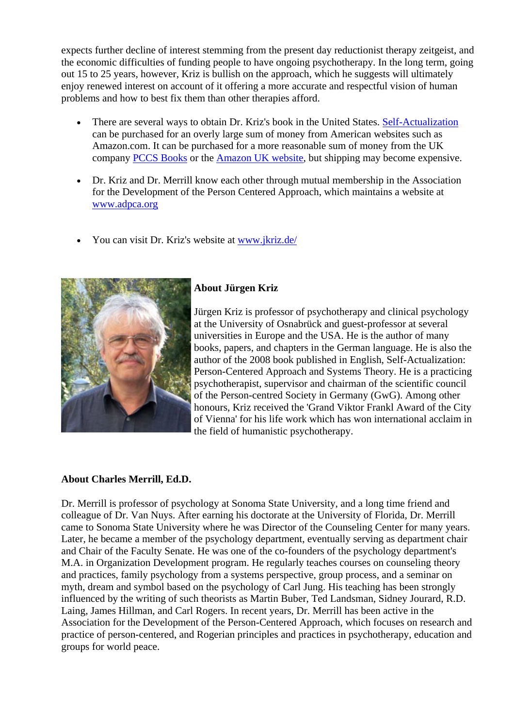expects further decline of interest stemming from the present day reductionist therapy zeitgeist, and the economic difficulties of funding people to have ongoing psychotherapy. In the long term, going out 15 to 25 years, however, Kriz is bullish on the approach, which he suggests will ultimately enjoy renewed interest on account of it offering a more accurate and respectful vision of human problems and how to best fix them than other therapies afford.

- There are several ways to obtain Dr. Kriz's book in the United States. Self-Actualization can be purchased for an overly large sum of money from American websites such as Amazon.com. It can be purchased for a more reasonable sum of money from the UK company PCCS Books or the Amazon UK website, but shipping may become expensive.
- Dr. Kriz and Dr. Merrill know each other through mutual membership in the Association for the Development of the Person Centered Approach, which maintains a website at www.adpca.org
- You can visit Dr. Kriz's website at www.jkriz.de/



# **About Jürgen Kriz**

Jürgen Kriz is professor of psychotherapy and clinical psychology at the University of Osnabrück and guest-professor at several universities in Europe and the USA. He is the author of many books, papers, and chapters in the German language. He is also the author of the 2008 book published in English, Self-Actualization: Person-Centered Approach and Systems Theory. He is a practicing psychotherapist, supervisor and chairman of the scientific council of the Person-centred Society in Germany (GwG). Among other honours, Kriz received the 'Grand Viktor Frankl Award of the City of Vienna' for his life work which has won international acclaim in the field of humanistic psychotherapy.

## **About Charles Merrill, Ed.D.**

Dr. Merrill is professor of psychology at Sonoma State University, and a long time friend and colleague of Dr. Van Nuys. After earning his doctorate at the University of Florida, Dr. Merrill came to Sonoma State University where he was Director of the Counseling Center for many years. Later, he became a member of the psychology department, eventually serving as department chair and Chair of the Faculty Senate. He was one of the co-founders of the psychology department's M.A. in Organization Development program. He regularly teaches courses on counseling theory and practices, family psychology from a systems perspective, group process, and a seminar on myth, dream and symbol based on the psychology of Carl Jung. His teaching has been strongly influenced by the writing of such theorists as Martin Buber, Ted Landsman, Sidney Jourard, R.D. Laing, James Hillman, and Carl Rogers. In recent years, Dr. Merrill has been active in the Association for the Development of the Person-Centered Approach, which focuses on research and practice of person-centered, and Rogerian principles and practices in psychotherapy, education and groups for world peace.